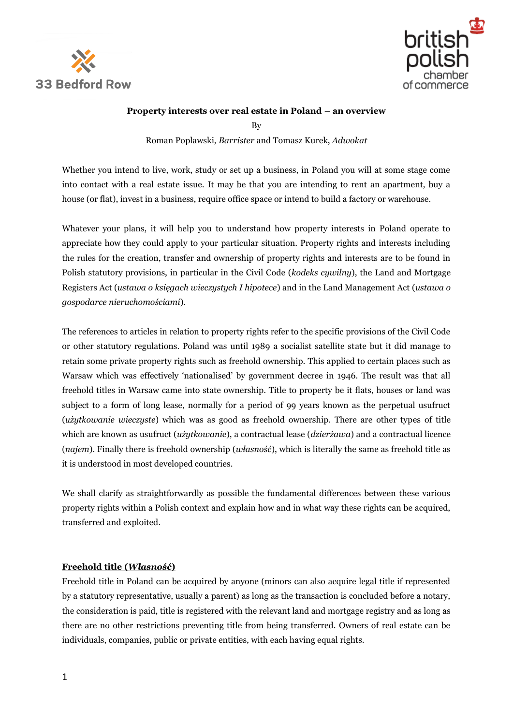



## **Property interests over real estate in Poland – an overview**

By

Roman Poplawski, *Barrister* and Tomasz Kurek, *Adwokat*

Whether you intend to live, work, study or set up a business, in Poland you will at some stage come into contact with a real estate issue. It may be that you are intending to rent an apartment, buy a house (or flat), invest in a business, require office space or intend to build a factory or warehouse.

Whatever your plans, it will help you to understand how property interests in Poland operate to appreciate how they could apply to your particular situation. Property rights and interests including the rules for the creation, transfer and ownership of property rights and interests are to be found in Polish statutory provisions, in particular in the Civil Code (*kodeks cywilny*), the Land and Mortgage Registers Act (*ustawa o księgach wieczystych I hipotece*) and in the Land Management Act (*ustawa o gospodarce nieruchomościami*).

The references to articles in relation to property rights refer to the specific provisions of the Civil Code or other statutory regulations. Poland was until 1989 a socialist satellite state but it did manage to retain some private property rights such as freehold ownership. This applied to certain places such as Warsaw which was effectively 'nationalised' by government decree in 1946. The result was that all freehold titles in Warsaw came into state ownership. Title to property be it flats, houses or land was subject to a form of long lease, normally for a period of 99 years known as the perpetual usufruct (*użytkowanie wieczyste*) which was as good as freehold ownership. There are other types of title which are known as usufruct (*użytkowanie*), a contractual lease (*dzierżawa*) and a contractual licence (*najem*). Finally there is freehold ownership (*własność*), which is literally the same as freehold title as it is understood in most developed countries.

We shall clarify as straightforwardly as possible the fundamental differences between these various property rights within a Polish context and explain how and in what way these rights can be acquired, transferred and exploited.

# **Freehold title (***Własność***)**

Freehold title in Poland can be acquired by anyone (minors can also acquire legal title if represented by a statutory representative, usually a parent) as long as the transaction is concluded before a notary, the consideration is paid, title is registered with the relevant land and mortgage registry and as long as there are no other restrictions preventing title from being transferred. Owners of real estate can be individuals, companies, public or private entities, with each having equal rights.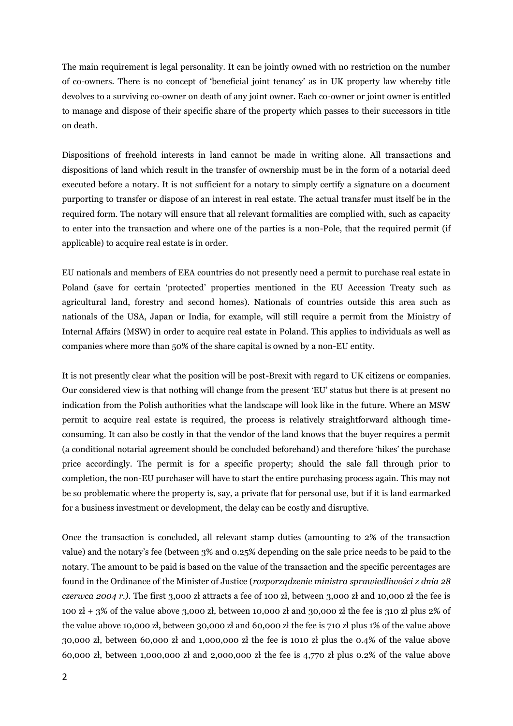The main requirement is legal personality. It can be jointly owned with no restriction on the number of co-owners. There is no concept of 'beneficial joint tenancy' as in UK property law whereby title devolves to a surviving co-owner on death of any joint owner. Each co-owner or joint owner is entitled to manage and dispose of their specific share of the property which passes to their successors in title on death.

Dispositions of freehold interests in land cannot be made in writing alone. All transactions and dispositions of land which result in the transfer of ownership must be in the form of a notarial deed executed before a notary. It is not sufficient for a notary to simply certify a signature on a document purporting to transfer or dispose of an interest in real estate. The actual transfer must itself be in the required form. The notary will ensure that all relevant formalities are complied with, such as capacity to enter into the transaction and where one of the parties is a non-Pole, that the required permit (if applicable) to acquire real estate is in order.

EU nationals and members of EEA countries do not presently need a permit to purchase real estate in Poland (save for certain 'protected' properties mentioned in the EU Accession Treaty such as agricultural land, forestry and second homes). Nationals of countries outside this area such as nationals of the USA, Japan or India, for example, will still require a permit from the Ministry of Internal Affairs (MSW) in order to acquire real estate in Poland. This applies to individuals as well as companies where more than 50% of the share capital is owned by a non-EU entity.

It is not presently clear what the position will be post-Brexit with regard to UK citizens or companies. Our considered view is that nothing will change from the present 'EU' status but there is at present no indication from the Polish authorities what the landscape will look like in the future. Where an MSW permit to acquire real estate is required, the process is relatively straightforward although timeconsuming. It can also be costly in that the vendor of the land knows that the buyer requires a permit (a conditional notarial agreement should be concluded beforehand) and therefore 'hikes' the purchase price accordingly. The permit is for a specific property; should the sale fall through prior to completion, the non-EU purchaser will have to start the entire purchasing process again. This may not be so problematic where the property is, say, a private flat for personal use, but if it is land earmarked for a business investment or development, the delay can be costly and disruptive.

Once the transaction is concluded, all relevant stamp duties (amounting to 2% of the transaction value) and the notary's fee (between 3% and 0.25% depending on the sale price needs to be paid to the notary. The amount to be paid is based on the value of the transaction and the specific percentages are found in the Ordinance of the Minister of Justice (*rozporządzenie ministra sprawiedliwości z dnia 28 czerwca 2004 r.).* The first 3,000 zł attracts a fee of 100 zł, between 3,000 zł and 10,000 zł the fee is 100  $z$ ł + 3% of the value above 3,000  $z$ ł, between 10,000  $z$ ł and 30,000  $z$ ł the fee is 310  $z$ ł plus 2% of the value above 10,000 zł, between 30,000 zł and 60,000 zł the fee is 710 zł plus 1% of the value above 30,000 zł, between 60,000 zł and 1,000,000 zł the fee is 1010 zł plus the 0.4% of the value above 60,000 zł, between 1,000,000 zł and 2,000,000 zł the fee is 4,770 zł plus 0.2% of the value above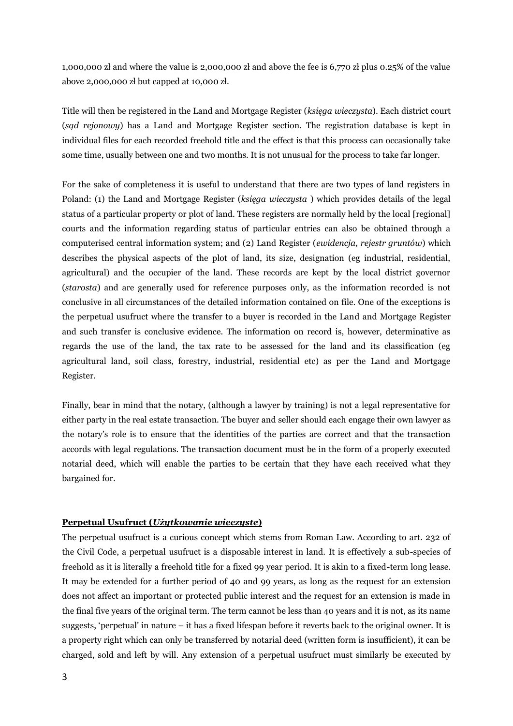1,000,000 zł and where the value is 2,000,000 zł and above the fee is 6,770 zł plus 0.25% of the value above 2,000,000 zł but capped at 10,000 zł.

Title will then be registered in the Land and Mortgage Register (*księga wieczysta*). Each district court (*sąd rejonowy*) has a Land and Mortgage Register section. The registration database is kept in individual files for each recorded freehold title and the effect is that this process can occasionally take some time, usually between one and two months. It is not unusual for the process to take far longer.

For the sake of completeness it is useful to understand that there are two types of land registers in Poland: (1) the Land and Mortgage Register (*księga wieczysta* ) which provides details of the legal status of a particular property or plot of land. These registers are normally held by the local [regional] courts and the information regarding status of particular entries can also be obtained through a computerised central information system; and (2) Land Register (*ewidencja, rejestr gruntów*) which describes the physical aspects of the plot of land, its size, designation (eg industrial, residential, agricultural) and the occupier of the land. These records are kept by the local district governor (*starosta*) and are generally used for reference purposes only, as the information recorded is not conclusive in all circumstances of the detailed information contained on file. One of the exceptions is the perpetual usufruct where the transfer to a buyer is recorded in the Land and Mortgage Register and such transfer is conclusive evidence. The information on record is, however, determinative as regards the use of the land, the tax rate to be assessed for the land and its classification (eg agricultural land, soil class, forestry, industrial, residential etc) as per the Land and Mortgage Register.

Finally, bear in mind that the notary, (although a lawyer by training) is not a legal representative for either party in the real estate transaction. The buyer and seller should each engage their own lawyer as the notary's role is to ensure that the identities of the parties are correct and that the transaction accords with legal regulations. The transaction document must be in the form of a properly executed notarial deed, which will enable the parties to be certain that they have each received what they bargained for.

## **Perpetual Usufruct (***Użytkowanie wieczyste***)**

The perpetual usufruct is a curious concept which stems from Roman Law. According to art. 232 of the Civil Code, a perpetual usufruct is a disposable interest in land. It is effectively a sub-species of freehold as it is literally a freehold title for a fixed 99 year period. It is akin to a fixed-term long lease. It may be extended for a further period of 40 and 99 years, as long as the request for an extension does not affect an important or protected public interest and the request for an extension is made in the final five years of the original term. The term cannot be less than 40 years and it is not, as its name suggests, 'perpetual' in nature – it has a fixed lifespan before it reverts back to the original owner. It is a property right which can only be transferred by notarial deed (written form is insufficient), it can be charged, sold and left by will. Any extension of a perpetual usufruct must similarly be executed by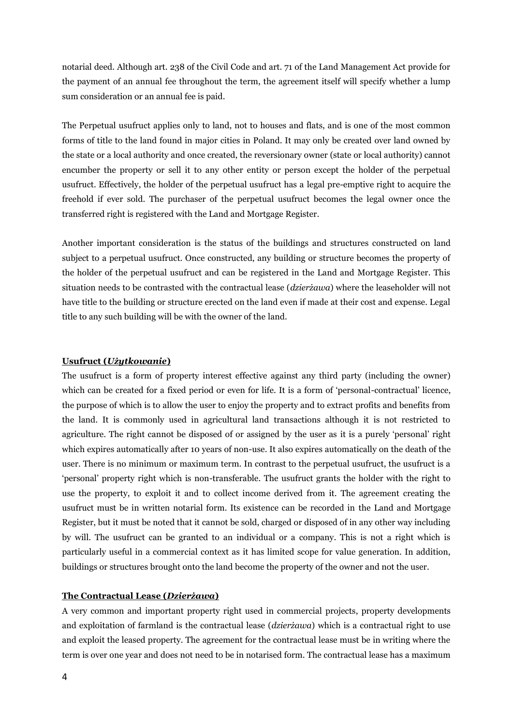notarial deed. Although art. 238 of the Civil Code and art. 71 of the Land Management Act provide for the payment of an annual fee throughout the term, the agreement itself will specify whether a lump sum consideration or an annual fee is paid.

The Perpetual usufruct applies only to land, not to houses and flats, and is one of the most common forms of title to the land found in major cities in Poland. It may only be created over land owned by the state or a local authority and once created, the reversionary owner (state or local authority) cannot encumber the property or sell it to any other entity or person except the holder of the perpetual usufruct. Effectively, the holder of the perpetual usufruct has a legal pre-emptive right to acquire the freehold if ever sold. The purchaser of the perpetual usufruct becomes the legal owner once the transferred right is registered with the Land and Mortgage Register.

Another important consideration is the status of the buildings and structures constructed on land subject to a perpetual usufruct. Once constructed, any building or structure becomes the property of the holder of the perpetual usufruct and can be registered in the Land and Mortgage Register. This situation needs to be contrasted with the contractual lease (*dzierżawa*) where the leaseholder will not have title to the building or structure erected on the land even if made at their cost and expense. Legal title to any such building will be with the owner of the land.

#### **Usufruct (***Użytkowanie***)**

The usufruct is a form of property interest effective against any third party (including the owner) which can be created for a fixed period or even for life. It is a form of 'personal-contractual' licence, the purpose of which is to allow the user to enjoy the property and to extract profits and benefits from the land. It is commonly used in agricultural land transactions although it is not restricted to agriculture. The right cannot be disposed of or assigned by the user as it is a purely 'personal' right which expires automatically after 10 years of non-use. It also expires automatically on the death of the user. There is no minimum or maximum term. In contrast to the perpetual usufruct, the usufruct is a 'personal' property right which is non-transferable. The usufruct grants the holder with the right to use the property, to exploit it and to collect income derived from it. The agreement creating the usufruct must be in written notarial form. Its existence can be recorded in the Land and Mortgage Register, but it must be noted that it cannot be sold, charged or disposed of in any other way including by will. The usufruct can be granted to an individual or a company. This is not a right which is particularly useful in a commercial context as it has limited scope for value generation. In addition, buildings or structures brought onto the land become the property of the owner and not the user.

#### **The Contractual Lease (***Dzierżawa***)**

A very common and important property right used in commercial projects, property developments and exploitation of farmland is the contractual lease (*dzierżawa*) which is a contractual right to use and exploit the leased property. The agreement for the contractual lease must be in writing where the term is over one year and does not need to be in notarised form. The contractual lease has a maximum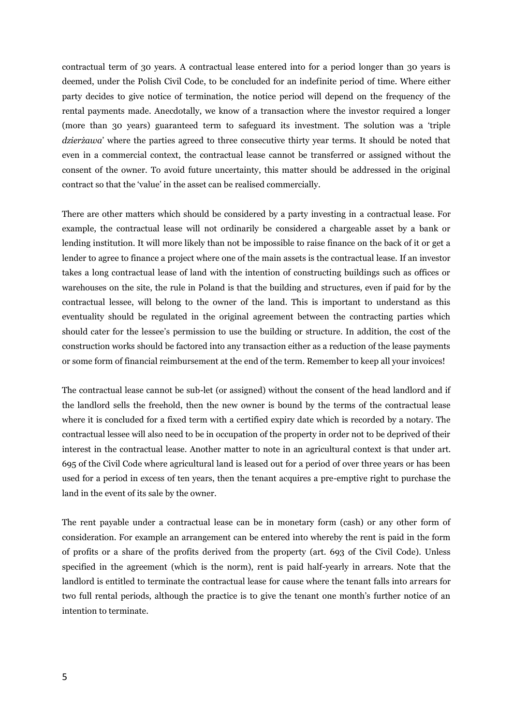contractual term of 30 years. A contractual lease entered into for a period longer than 30 years is deemed, under the Polish Civil Code, to be concluded for an indefinite period of time. Where either party decides to give notice of termination, the notice period will depend on the frequency of the rental payments made. Anecdotally, we know of a transaction where the investor required a longer (more than 30 years) guaranteed term to safeguard its investment. The solution was a 'triple *dzierżawa*' where the parties agreed to three consecutive thirty year terms. It should be noted that even in a commercial context, the contractual lease cannot be transferred or assigned without the consent of the owner. To avoid future uncertainty, this matter should be addressed in the original contract so that the 'value' in the asset can be realised commercially.

There are other matters which should be considered by a party investing in a contractual lease. For example, the contractual lease will not ordinarily be considered a chargeable asset by a bank or lending institution. It will more likely than not be impossible to raise finance on the back of it or get a lender to agree to finance a project where one of the main assets is the contractual lease. If an investor takes a long contractual lease of land with the intention of constructing buildings such as offices or warehouses on the site, the rule in Poland is that the building and structures, even if paid for by the contractual lessee, will belong to the owner of the land. This is important to understand as this eventuality should be regulated in the original agreement between the contracting parties which should cater for the lessee's permission to use the building or structure. In addition, the cost of the construction works should be factored into any transaction either as a reduction of the lease payments or some form of financial reimbursement at the end of the term. Remember to keep all your invoices!

The contractual lease cannot be sub-let (or assigned) without the consent of the head landlord and if the landlord sells the freehold, then the new owner is bound by the terms of the contractual lease where it is concluded for a fixed term with a certified expiry date which is recorded by a notary. The contractual lessee will also need to be in occupation of the property in order not to be deprived of their interest in the contractual lease. Another matter to note in an agricultural context is that under art. 695 of the Civil Code where agricultural land is leased out for a period of over three years or has been used for a period in excess of ten years, then the tenant acquires a pre-emptive right to purchase the land in the event of its sale by the owner.

The rent payable under a contractual lease can be in monetary form (cash) or any other form of consideration. For example an arrangement can be entered into whereby the rent is paid in the form of profits or a share of the profits derived from the property (art. 693 of the Civil Code). Unless specified in the agreement (which is the norm), rent is paid half-yearly in arrears. Note that the landlord is entitled to terminate the contractual lease for cause where the tenant falls into arrears for two full rental periods, although the practice is to give the tenant one month's further notice of an intention to terminate.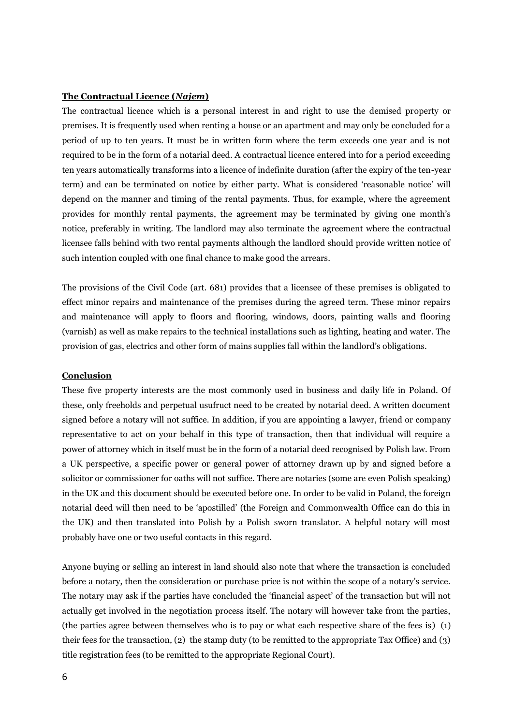#### **The Contractual Licence (***Najem***)**

The contractual licence which is a personal interest in and right to use the demised property or premises. It is frequently used when renting a house or an apartment and may only be concluded for a period of up to ten years. It must be in written form where the term exceeds one year and is not required to be in the form of a notarial deed. A contractual licence entered into for a period exceeding ten years automatically transforms into a licence of indefinite duration (after the expiry of the ten-year term) and can be terminated on notice by either party. What is considered 'reasonable notice' will depend on the manner and timing of the rental payments. Thus, for example, where the agreement provides for monthly rental payments, the agreement may be terminated by giving one month's notice, preferably in writing. The landlord may also terminate the agreement where the contractual licensee falls behind with two rental payments although the landlord should provide written notice of such intention coupled with one final chance to make good the arrears.

The provisions of the Civil Code (art. 681) provides that a licensee of these premises is obligated to effect minor repairs and maintenance of the premises during the agreed term. These minor repairs and maintenance will apply to floors and flooring, windows, doors, painting walls and flooring (varnish) as well as make repairs to the technical installations such as lighting, heating and water. The provision of gas, electrics and other form of mains supplies fall within the landlord's obligations.

### **Conclusion**

These five property interests are the most commonly used in business and daily life in Poland. Of these, only freeholds and perpetual usufruct need to be created by notarial deed. A written document signed before a notary will not suffice. In addition, if you are appointing a lawyer, friend or company representative to act on your behalf in this type of transaction, then that individual will require a power of attorney which in itself must be in the form of a notarial deed recognised by Polish law. From a UK perspective, a specific power or general power of attorney drawn up by and signed before a solicitor or commissioner for oaths will not suffice. There are notaries (some are even Polish speaking) in the UK and this document should be executed before one. In order to be valid in Poland, the foreign notarial deed will then need to be 'apostilled' (the Foreign and Commonwealth Office can do this in the UK) and then translated into Polish by a Polish sworn translator. A helpful notary will most probably have one or two useful contacts in this regard.

Anyone buying or selling an interest in land should also note that where the transaction is concluded before a notary, then the consideration or purchase price is not within the scope of a notary's service. The notary may ask if the parties have concluded the 'financial aspect' of the transaction but will not actually get involved in the negotiation process itself. The notary will however take from the parties, (the parties agree between themselves who is to pay or what each respective share of the fees is) (1) their fees for the transaction, (2) the stamp duty (to be remitted to the appropriate Tax Office) and (3) title registration fees (to be remitted to the appropriate Regional Court).